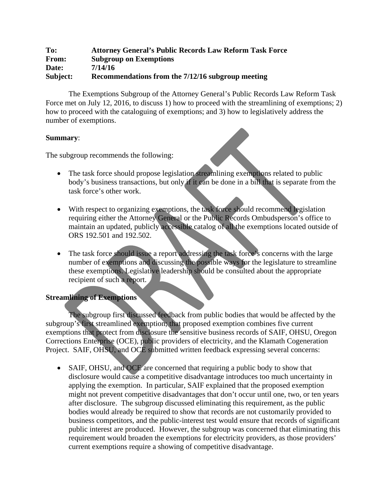## **To: Attorney General's Public Records Law Reform Task Force From: Subgroup on Exemptions Date: 7/14/16 Subject: Recommendations from the 7/12/16 subgroup meeting**

The Exemptions Subgroup of the Attorney General's Public Records Law Reform Task Force met on July 12, 2016, to discuss 1) how to proceed with the streamlining of exemptions; 2) how to proceed with the cataloguing of exemptions; and 3) how to legislatively address the number of exemptions.

## **Summary**:

The subgroup recommends the following:

- The task force should propose legislation streamlining exemptions related to public body's business transactions, but only if it can be done in a bill that is separate from the task force's other work.
- With respect to organizing exemptions, the task force should recommend legislation requiring either the Attorney General or the Public Records Ombudsperson's office to maintain an updated, publicly accessible catalog of all the exemptions located outside of ORS 192.501 and 192.502.
- The task force should issue a report addressing the task force's concerns with the large number of exemptions and discussing the possible ways for the legislature to streamline these exemptions. Legislative leadership should be consulted about the appropriate recipient of such a report.

# **Streamlining of Exemptions**

The subgroup first discussed feedback from public bodies that would be affected by the subgroup's first streamlined exemption; that proposed exemption combines five current exemptions that protect from disclosure the sensitive business records of SAIF, OHSU, Oregon Corrections Enterprise (OCE), public providers of electricity, and the Klamath Cogeneration Project. SAIF, OHSU, and OCE submitted written feedback expressing several concerns:

• SAIF, OHSU, and OCE are concerned that requiring a public body to show that disclosure would cause a competitive disadvantage introduces too much uncertainty in applying the exemption. In particular, SAIF explained that the proposed exemption might not prevent competitive disadvantages that don't occur until one, two, or ten years after disclosure. The subgroup discussed eliminating this requirement, as the public bodies would already be required to show that records are not customarily provided to business competitors, and the public-interest test would ensure that records of significant public interest are produced. However, the subgroup was concerned that eliminating this requirement would broaden the exemptions for electricity providers, as those providers' current exemptions require a showing of competitive disadvantage.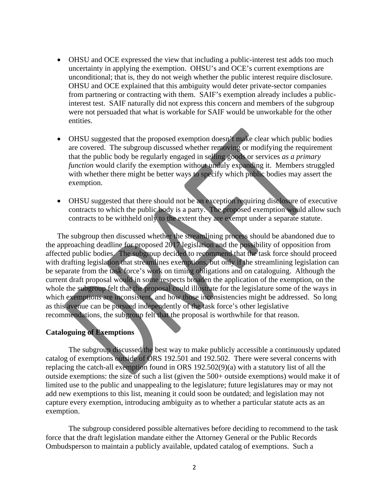- OHSU and OCE expressed the view that including a public-interest test adds too much uncertainty in applying the exemption. OHSU's and OCE's current exemptions are unconditional; that is, they do not weigh whether the public interest require disclosure. OHSU and OCE explained that this ambiguity would deter private-sector companies from partnering or contracting with them. SAIF's exemption already includes a publicinterest test. SAIF naturally did not express this concern and members of the subgroup were not persuaded that what is workable for SAIF would be unworkable for the other entities.
- OHSU suggested that the proposed exemption doesn't make clear which public bodies are covered. The subgroup discussed whether removing or modifying the requirement that the public body be regularly engaged in selling goods or services *as a primary function* would clarify the exemption without unduly expanding it. Members struggled with whether there might be better ways to specify which public bodies may assert the exemption.
- OHSU suggested that there should not be an exception requiring disclosure of executive contracts to which the public body is a party. The proposed exemption would allow such contracts to be withheld only to the extent they are exempt under a separate statute.

The subgroup then discussed whether the streamlining process should be abandoned due to the approaching deadline for proposed 2017 legislation and the possibility of opposition from affected public bodies. The subgroup decided to recommend that the task force should proceed with drafting legislation that streamlines exemptions, but only if the streamlining legislation can be separate from the task force's work on timing obligations and on cataloguing. Although the current draft proposal would in some respects broaden the application of the exemption, on the whole the subgroup felt that the proposal could illustrate for the legislature some of the ways in which exemptions are inconsistent, and how those inconsistencies might be addressed. So long as this avenue can be pursued independently of the task force's other legislative recommendations, the subgroup felt that the proposal is worthwhile for that reason.

### **Cataloguing of Exemptions**

The subgroup discussed the best way to make publicly accessible a continuously updated catalog of exemptions outside of ORS 192.501 and 192.502. There were several concerns with replacing the catch-all exemption found in ORS 192.502(9)(a) with a statutory list of all the outside exemptions: the size of such a list (given the 500+ outside exemptions) would make it of limited use to the public and unappealing to the legislature; future legislatures may or may not add new exemptions to this list, meaning it could soon be outdated; and legislation may not capture every exemption, introducing ambiguity as to whether a particular statute acts as an exemption.

The subgroup considered possible alternatives before deciding to recommend to the task force that the draft legislation mandate either the Attorney General or the Public Records Ombudsperson to maintain a publicly available, updated catalog of exemptions. Such a